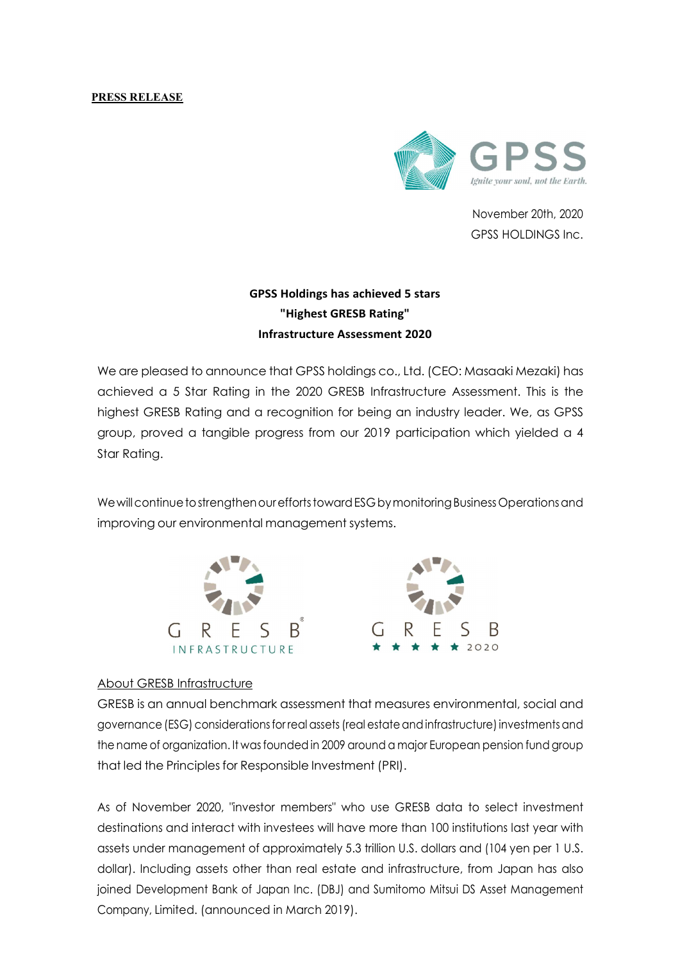## PRESS RELEASE



November 20th, 2020 GPSS HOLDINGS Inc.

## GPSS Holdings has achieved 5 stars "Highest GRESB Rating" Infrastructure Assessment 2020

We are pleased to announce that GPSS holdings co., Ltd. (CEO: Masaaki Mezaki) has achieved a 5 Star Rating in the 2020 GRESB Infrastructure Assessment. This is the highest GRESB Rating and a recognition for being an industry leader. We, as GPSS group, proved a tangible progress from our 2019 participation which yielded a 4 Star Rating.

We will continue to strengthen our efforts toward ESG by monitoring Business Operations and improving our environmental management systems.



## About GRESB Infrastructure

GRESB is an annual benchmark assessment that measures environmental, social and governance (ESG) considerations for real assets (real estate and infrastructure) investments and the name of organization. It was founded in 2009 around a major European pension fund group that led the Principles for Responsible Investment (PRI).

As of November 2020, "investor members" who use GRESB data to select investment destinations and interact with investees will have more than 100 institutions last year with assets under management of approximately 5.3 trillion U.S. dollars and (104 yen per 1 U.S. dollar). Including assets other than real estate and infrastructure, from Japan has also joined Development Bank of Japan Inc. (DBJ) and Sumitomo Mitsui DS Asset Management Company, Limited. (announced in March 2019).